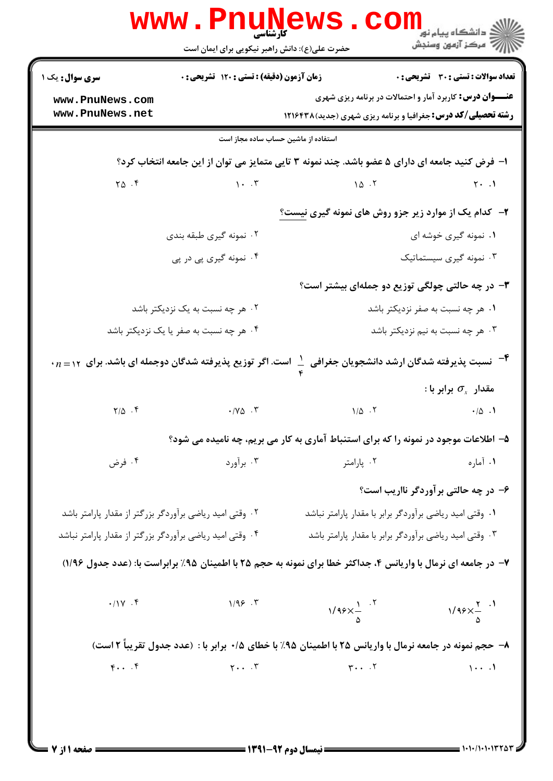| <b>سری سوال :</b> یک ۱                                                                                           | زمان آزمون (دقیقه) : تستی : 120 تشریحی : 0 |                                                                                                                                        | تعداد سوالات : تستى : 30 ٪ تشريحي : 0 |  |
|------------------------------------------------------------------------------------------------------------------|--------------------------------------------|----------------------------------------------------------------------------------------------------------------------------------------|---------------------------------------|--|
| www.PnuNews.com<br>www.PnuNews.net                                                                               |                                            | <b>عنـــوان درس:</b> کاربرد آمار و احتمالات در برنامه ریزی شهری<br><b>رشته تحصیلی/کد درس:</b> جغرافیا و برنامه ریزی شهری (جدید)۱۲۱۶۴۳۸ |                                       |  |
|                                                                                                                  |                                            | استفاده از ماشین حساب ساده مجاز است                                                                                                    |                                       |  |
|                                                                                                                  |                                            | ا– فرض کنید جامعه ای دارای ۵ عضو باشد. چند نمونه ۳ تایی متمایز می توان از این جامعه انتخاب کرد؟                                        |                                       |  |
| $Y\Delta$ .                                                                                                      | $\mathcal{N}$ . $\mathcal{N}$              | 10.7                                                                                                                                   | $Y \cdot .1$                          |  |
|                                                                                                                  |                                            | ۲- کدام یک از موارد زیر جزو روش های نمونه گیری نیست؟                                                                                   |                                       |  |
|                                                                                                                  | ۰۲ نمونه گیری طبقه بندی                    |                                                                                                                                        | ۰۱ نمونه گیری خوشه ای                 |  |
| ۰۴ نمونه گیری پی در پی                                                                                           |                                            |                                                                                                                                        | ۰۳ نمونه گیری سیستماتیک               |  |
|                                                                                                                  |                                            | ۳- در چه حالتی چولگی توزیع دو جملهای بیشتر است؟                                                                                        |                                       |  |
|                                                                                                                  | ۰۲ هر چه نسبت به یک نزدیکتر باشد           |                                                                                                                                        | ۰۱ هر چه نسبت به صفر نزدیکتر باشد     |  |
| ۰۴ هر چه نسبت به صفر یا یک نزدیکتر باشد                                                                          |                                            |                                                                                                                                        | ۰۳ هر چه نسبت به نیم نزدیکتر باشد     |  |
| $\cdot$ ، نسبت پذیرفته شدگان ارشد دانشجویان جغرافی $\_$ است. اگر توزیع پذیرفته شدگان دوجمله ای باشد. برای $n=$ ۲ |                                            |                                                                                                                                        |                                       |  |
|                                                                                                                  |                                            |                                                                                                                                        | : مقدار $\sigma_x$ برابر با           |  |
| $Y/\Delta$ .                                                                                                     | $\cdot$ / Y $\triangle$ . $\check{r}$      | $1/\Delta$ .                                                                                                                           | $\cdot/\Delta$ .                      |  |
|                                                                                                                  |                                            | ۵– اطلاعات موجود در نمونه را که برای استنباط آماری به کار می بریم، چه نامیده می شود؟                                                   |                                       |  |
| ۰۴ فرض                                                                                                           | ۰۳ برآورد                                  | ۰۲ پارامتر                                                                                                                             | ۰۱ آماره                              |  |
|                                                                                                                  |                                            |                                                                                                                                        |                                       |  |
|                                                                                                                  |                                            |                                                                                                                                        | ۶- در چه حالتی بر آوردگر نااریب است؟  |  |
| ۰۲ وقتی امید ریاضی برآوردگر بزرگتر از مقدار پارامتر باشد                                                         |                                            | ٠١ وقتي اميد رياضي برآوردگر برابر با مقدار پارامتر نباشد<br>۰۳ وقتی امید ریاضی برآوردگر برابر با مقدار پارامتر باشد                    |                                       |  |
| ۰۴ وقتی امید ریاضی برآوردگر بزرگتر از مقدار پارامتر نباشد                                                        |                                            |                                                                                                                                        |                                       |  |
|                                                                                                                  |                                            | ۷- در جامعه ای نرمال با واریانس ۴، جداکثر خطا برای نمونه به حجم ۲۵ با اطمینان ۹۵٪ برابراست با: (عدد جدول ۱/۹۶)                         |                                       |  |
| $\cdot$ /1Y $\cdot$ F                                                                                            | 1/95.7                                     | $1/99 \times \frac{1}{0}$ .                                                                                                            | $1/99 \times \frac{9}{9}$ .1          |  |
|                                                                                                                  |                                            | ۸– حجم نمونه در جامعه نرمال با واریانس ۲۵ با اطمینان ۹۵٪ با خطای ۰/۵ برابر با : (عدد جدول تقریباً ۲ است)                               |                                       |  |
| $\uparrow \cdot \cdot \cdot \uparrow$                                                                            |                                            | $\gamma \cdots \gamma$ $\gamma \cdots \gamma$                                                                                          | $\cdots$                              |  |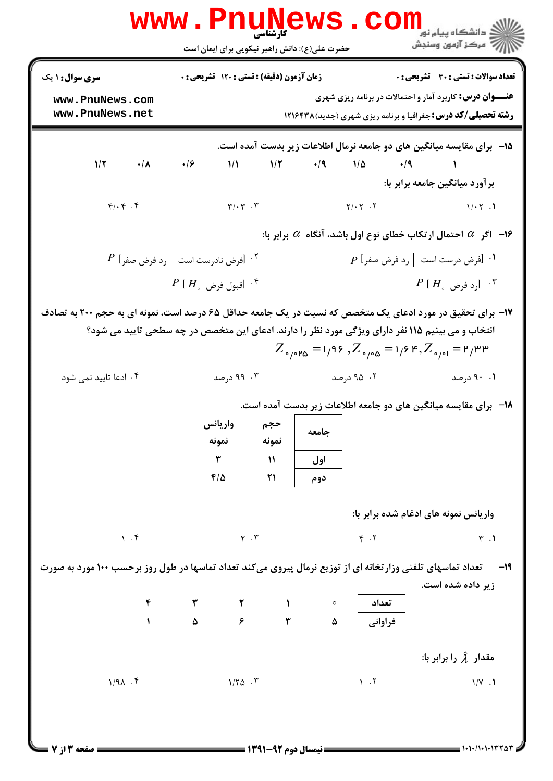|                                                                                                                                                                                                                                                                                                   | <b>WWW.PNUNEWS.CO</b><br>حضرت علی(ع): دانش راهبر نیکویی برای ایمان است                                     | <b>کارشناسی</b>                  |            |                 | الاد دانشگاه پيام نور <mark>- -</mark><br>     <br>                                                                                                                           |
|---------------------------------------------------------------------------------------------------------------------------------------------------------------------------------------------------------------------------------------------------------------------------------------------------|------------------------------------------------------------------------------------------------------------|----------------------------------|------------|-----------------|-------------------------------------------------------------------------------------------------------------------------------------------------------------------------------|
| <b>سری سوال : ۱ یک</b><br>www.PnuNews.com<br>www.PnuNews.net                                                                                                                                                                                                                                      | <b>زمان آزمون (دقیقه) : تستی : 120 تشریحی : 0</b>                                                          |                                  |            |                 | تعداد سوالات : تستى : 30 قشريحى : 0<br><b>عنـــوان درس:</b> کاربرد آمار و احتمالات در برنامه ریزی شهری<br><b>رشته تحصیلی/کد درس:</b> جغرافیا و برنامه ریزی شهری (جدید)۱۲۱۶۴۳۸ |
| $1/\Upsilon$ $\cdot/\Lambda$ $\cdot/\varphi$ $1/\Upsilon$ $1/\Upsilon$ $\cdot/9$ $1/\Delta$ $\cdot/9$ $1$                                                                                                                                                                                         |                                                                                                            |                                  |            |                 | ۱۵− برای مقایسه میانگین های دو جامعه نرمال اطلاعات زیر بدست آمده است.                                                                                                         |
|                                                                                                                                                                                                                                                                                                   |                                                                                                            |                                  |            |                 |                                                                                                                                                                               |
|                                                                                                                                                                                                                                                                                                   |                                                                                                            |                                  |            |                 | ا- اگر $\alpha$ احتمال ارتکاب خطای نوع اول باشد، آنگاه $\alpha$ برابر با $\epsilon$                                                                                           |
|                                                                                                                                                                                                                                                                                                   | $\left\vert P\right\vert$ ا وفرض نادرست است $\left\vert \right\vert$ رد فرض صفر $\left\vert \right\rangle$ |                                  |            |                 | $\mid P \mid P$ ا - افرض درست است $\mid \mid$ رد فرض صفر $\mid P \mid$                                                                                                        |
|                                                                                                                                                                                                                                                                                                   | $P \ [ \ H_{_{\circ}} \ \ \phi$ ۰۴ قبول فرض $\cdot$                                                        |                                  |            |                 | $P$ [ $H$ <sub>، د</sub> فرض $\cdot$ "                                                                                                                                        |
| ۱۷- برای تحقیق در مورد ادعای یک متخصص که نسبت در یک جامعه حداقل ۶۵ درصد است، نمونه ای به حجم ۲۰۰ به تصادف<br>انتخاب و می بینیم ۱۱۵ نفر دارای ویژگی مورد نظر را دارند. ادعای این متخصص در چه سطحی تایید می شود؟<br>$Z_{\text{opt8}} = 1/95$ , $Z_{\text{opt8}} = 1/55$ , $Z_{\text{opt8}} = 1/100$ |                                                                                                            |                                  |            |                 |                                                                                                                                                                               |
| ۰۴ ادعا تاييد نمي شود                                                                                                                                                                                                                                                                             | ۰۳ درصد                                                                                                    |                                  | ۹۵ ۰۲ درصد |                 | ۰۱ ۹۰ درصد                                                                                                                                                                    |
| ۱۸– برای مقایسه میانگین های دو جامعه اطلاعات زیر بدست آمده است.                                                                                                                                                                                                                                   |                                                                                                            |                                  |            |                 |                                                                                                                                                                               |
|                                                                                                                                                                                                                                                                                                   | واريانس<br>نمونه                                                                                           | حجم<br>نمونه                     | جامعه      |                 |                                                                                                                                                                               |
|                                                                                                                                                                                                                                                                                                   | ٣                                                                                                          | $\mathcal{U}$                    | اول        |                 |                                                                                                                                                                               |
|                                                                                                                                                                                                                                                                                                   | $F/\Delta$                                                                                                 | 21                               | دوم        |                 |                                                                                                                                                                               |
|                                                                                                                                                                                                                                                                                                   |                                                                                                            |                                  |            |                 | واریانس نمونه های ادغام شده برابر با:                                                                                                                                         |
| 1.9                                                                                                                                                                                                                                                                                               |                                                                                                            | $\Upsilon$ . $\Upsilon$          |            | $F \cdot Y$     | $\uparrow$ .1                                                                                                                                                                 |
| تعداد تماسهای تلفنی وزارتخانه ای از توزیع نرمال پیروی میکند تعداد تماسها در طول روز برحسب ۱۰۰ مورد به صورت<br>-19<br>زیر داده شده است.                                                                                                                                                            |                                                                                                            |                                  |            |                 |                                                                                                                                                                               |
|                                                                                                                                                                                                                                                                                                   |                                                                                                            |                                  | $\circ$    | تعداد           |                                                                                                                                                                               |
|                                                                                                                                                                                                                                                                                                   |                                                                                                            | $\epsilon$<br>$\pmb{\mathtt{y}}$ | ۵          | فراواني         |                                                                                                                                                                               |
|                                                                                                                                                                                                                                                                                                   |                                                                                                            |                                  |            |                 | مقدار ﴿ را برابر با:                                                                                                                                                          |
| $1/9\lambda$ . ۴                                                                                                                                                                                                                                                                                  | $1/\Upsilon \Delta$ .                                                                                      |                                  |            | $\mathcal{N}$ . | $1/Y$ .1                                                                                                                                                                      |
|                                                                                                                                                                                                                                                                                                   |                                                                                                            |                                  |            |                 |                                                                                                                                                                               |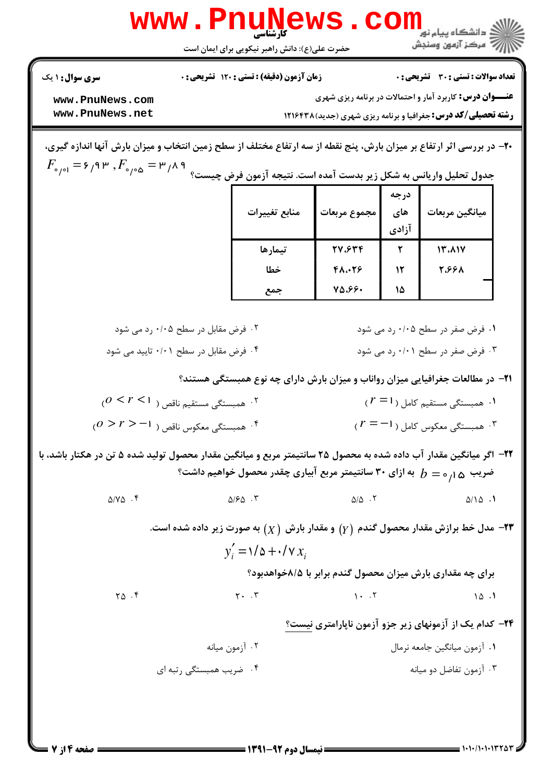## WWW.PnuMews.com الله آمرکز آزمون وسنجش حضرت علی(ع): دانش راهبر نیکویی برای ایمان است

**تعداد سوالات : تستي : 30 ٪ تشريحي : 0** 

زمان آزمون (دقیقه) : تستی : ۱۲۰ تشریحی : ۰

**سری سوال : ۱ یک** 

**عنــوان درس:** کاربرد آمار و احتمالات در برنامه ریزی شهری

**رشته تحصیلی/کد درس:** جغرافیا و برنامه ریزی شهری (جدید) ۱۲۱۶۴۳۸

www.PnuNews.com www.PnuNews.net

۲۰- در بررسی اثر ارتفاع بر میزان بارش، پنج نقطه از سه ارتفاع مختلف از سطح زمین انتخاب و میزان بارش آنها اندازه گیری،  $F_{\circ}$ جدول تحلیل واریانس به شکل زیر بدست آمده است. نتیجه آزمون فرض چیست؟  $F_{\circ}$ ۹۳ , $F_{\circ}$ ۹۳ , $F_{\circ}$ ۹۳ , $F_{\circ}$ ۹۳ )

| منابع تغييرات | مجموع مربعات | درجه<br>های<br>آزادي | ميانگين مربعات |
|---------------|--------------|----------------------|----------------|
| تيمار ها      | 773.63       |                      | 13.817         |
| خطا           | 480.44       | ۱۲                   | 2.668          |
| جمع           | 18.88.       | ۱۵                   |                |

- ۰۲ فرض مقابل در سطح ۰/۰۵ رد می شود ۰۱ فرض صفر در سطح ۰/۰۵ رد می شود ۰۳ فرض صفر در سطح ۰/۰۱ رد می شود ۰۴ فرض مقابل در سطح ۰/۰۱ تایید می شود
	- ۲۱− در مطالعات جغرافیایی میزان رواناب و میزان بارش دارای چه نوع همبستگی هستند؟
- $0 \leq r \leq 1$ ۰۲ همیستگی مستقیم ناقص ( ا $r \leq 0$  $(r = 1)$  همیستگی مستقیم کامل (  $r = 1$  $(0 \geq r \geq -1)$ ، همبستگی معکوس ناقص ( ا $f$  $r = -1$ ، همستگی معکوس کامل (  $r = -r$

۲۲– اگر میانگین مقدار آب داده شده به محصول ۲۵ سانتیمتر مربع و میانگین مقدار محصول تولید شده ۵ تن در هکتار باشد، با خریب  $\frac{1}{\alpha}$  م ازای ۳۰ سانتیمتر مربع آبیاری چقدر محصول خواهیم داشت؟

> $\Delta$ / $\epsilon$  $\Delta$   $\cdot$   $\tau$  $\Delta/\Delta$ . T  $\Delta/V\Delta$ .  $\Delta/\Delta$ .

> > - مدل خط برازش مقدار محصول گندم  $(Y)$  و مقدار بارش  $(X)$  به صورت زیر داده شده است.

 $y'_i = 1/\Delta + 1/\gamma x_i$ برای چه مقداری بارش میزان محصول گندم برابر با ۸/۵خواهدبود؟

 $Y \cdot \cdot Y$  $1.7$  $\Upsilon \Delta$ .  $10.1$ 

۲۴– کدام یک از آزمونهای زیر جزو آزمون ناپارامتری نیست؟

۲. آ<sub>ز</sub>مون میانه ٠١. آزمون ميانگين جامعه نرمال ۰۴ ضریب همبستگی رتبه ای ۰۳ آزمون تفاضل دو میانه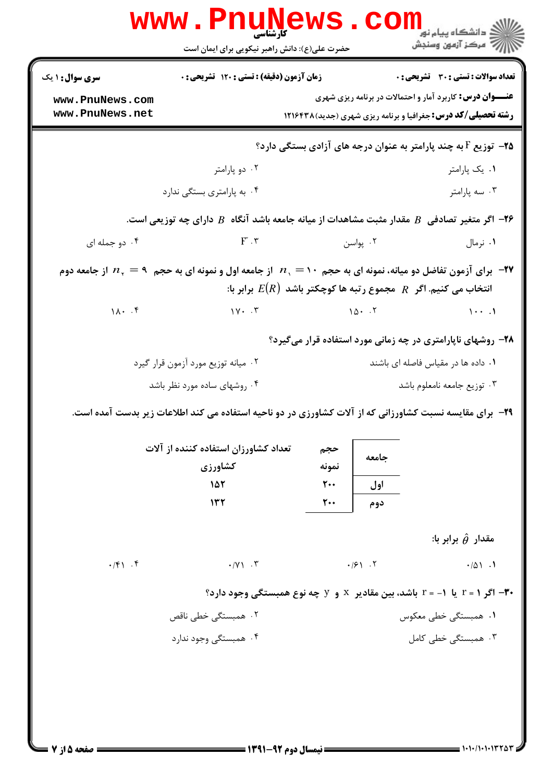|                                      | حضرت علی(ع): دانش راهبر نیکویی برای ایمان است                                                                              |                                    |            | دانشگاه پيام نور<br>الله عرکز آزمون وسنجش                                                                                               |
|--------------------------------------|----------------------------------------------------------------------------------------------------------------------------|------------------------------------|------------|-----------------------------------------------------------------------------------------------------------------------------------------|
| <b>سری سوال : ۱ یک</b>               | زمان آزمون (دقیقه) : تستی : ۱۲۰ تشریحی : ۰                                                                                 |                                    |            | تعداد سوالات : تستى : 30 - تشريحي : 0                                                                                                   |
| www.PnuNews.com<br>www.PnuNews.net   |                                                                                                                            |                                    |            | <b>عنـــوان درس:</b> کاربرد آمار و احتمالات در برنامه ریزی شهری<br><b>رشته تحصیلی/کد درس:</b> جغرافیا و برنامه ریزی شهری (جدید) ۱۲۱۶۴۳۸ |
|                                      |                                                                                                                            |                                    |            | <b>۲۵</b> - توزیع F به چند پارامتر به عنوان درجه های آزادی بستگی دارد؟                                                                  |
|                                      | ۰۲ دو پارامتر                                                                                                              |                                    |            | ۰۱ یک پارامتر                                                                                                                           |
|                                      | ۰۴ به پارامتری بستگی ندارد                                                                                                 |                                    |            | ۰۳ سه پارامتر                                                                                                                           |
|                                      | اگر متغیر تصادفی $B$ مقدار مثبت مشاهدات از میانه جامعه باشد آنگاه $B$ دارای چه توزیعی است. $\bm{P}$                        |                                    |            |                                                                                                                                         |
| ۰۴ دو جمله ای                        | $F^*$ . $\mathbf{F}^*$ . $\mathbf{Y}$ . $\mathbf{Y}$ . $\mathbf{Y}$                                                        |                                    |            | ۰۱ نرمال                                                                                                                                |
|                                      | وم - الاس تو الله عجم ( و الله عن الله عجم) ( $n\,$ , $=$ ، $n\,$ از جامعه اول و نمونه ای به حجم ( $n\,$ از جامعه دوم $\,$ |                                    |            | انتخاب می کنیم. اگر $R$ مجموع رتبه ها کوچکتر باشد $E(R)$ برابر با:                                                                      |
|                                      | $1\Lambda$ . F $1\Lambda$ . T $1\Delta$ . T $1\Delta$ . T $1\Delta$ . T $1\ldots 1$                                        |                                    |            |                                                                                                                                         |
|                                      |                                                                                                                            |                                    |            | ۲۸- روشهای ناپارامتری در چه زمانی مورد استفاده قرار میگیرد؟                                                                             |
|                                      | ۰۲ میانه توزیع مورد آزمون قرار گیرد                                                                                        |                                    |            | ۰۱ داده ها در مقیاس فاصله ای باشند                                                                                                      |
|                                      | ۰۴ روشهای ساده مورد نظر باشد                                                                                               |                                    |            | ۰۳ توزیع جامعه نامعلوم باشد                                                                                                             |
|                                      | <b>۲۹</b> - برای مقایسه نسبت کشاورزانی که از آلات کشاورزی در دو ناحیه استفاده می کند اطلاعات زیر بدست آمده است.            |                                    |            |                                                                                                                                         |
| تعداد کشاورزان استفاده کننده از آلات |                                                                                                                            | حجم                                | جامعه      |                                                                                                                                         |
|                                      | كشاورزي                                                                                                                    | نمونه                              |            |                                                                                                                                         |
|                                      | 15٢<br>157                                                                                                                 | $\mathsf{r}\cdot\mathsf{r}$<br>٢٠٠ | اول<br>دوم |                                                                                                                                         |
|                                      |                                                                                                                            |                                    |            |                                                                                                                                         |
|                                      |                                                                                                                            |                                    |            | مقدار $\hat{\theta}$ برابر با:                                                                                                          |
| $\cdot$ /۴) $\cdot$ ۴                | $\cdot$ / $\gamma \wedge \cdot$ $\uparrow$                                                                                 |                                    | .191.7     | .701.1                                                                                                                                  |
|                                      |                                                                                                                            |                                    |            | ۳۰– اگر ۱ = ۲ یا ۱- = ۲ باشد، بین مقادیر x و y چه نوع همبستگی وجود دارد؟                                                                |
|                                      | ۰۲ همبستگی خطی ناقص                                                                                                        |                                    |            | ۰۱ همبستگی خطی معکوس                                                                                                                    |
|                                      | ۰۴ همبستگی وجود ندارد                                                                                                      |                                    |            | ۰۳ همبستگ <i>ی خطی</i> کامل                                                                                                             |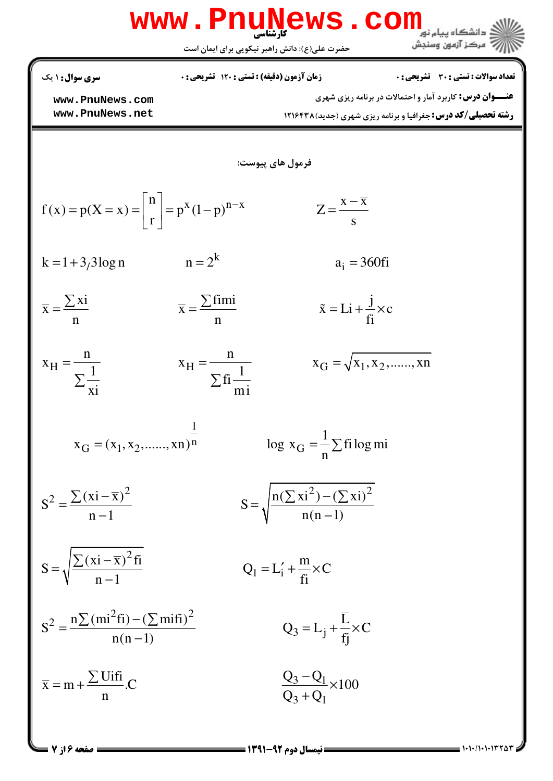|                                                                                          | <b>www.PnuNews</b>                          | COM<br>' مرڪز آزمون وسنڊش<br>حضرت علی(ع): دانش راهبر نیکویی برای ایمان است                                                                                                              |
|------------------------------------------------------------------------------------------|---------------------------------------------|-----------------------------------------------------------------------------------------------------------------------------------------------------------------------------------------|
| <b>سری سوال : ۱ یک</b><br>www.PnuNews.com<br>www.PnuNews.net                             | زمان آزمون (دقیقه) : تستی : 120 تشریحی : 0  | <b>تعداد سوالات : تستی : 30 ٪ تشریحی : 0</b><br><b>عنـــوان درس:</b> کاربرد آمار و احتمالات در برنامه ریزی شهری<br><b>رشته تحصیلی/کد درس: جغرافیا و برنامه ریزی شهری (جدید) ۱۲۱۶۴۳۸</b> |
|                                                                                          |                                             | فرمول هاي پيوست:                                                                                                                                                                        |
| $f(x) = p(X = x) = \left  \begin{array}{c} n \\ r \end{array} \right  = p^x (1-p)^{n-x}$ |                                             | $Z = \frac{x - x}{s}$                                                                                                                                                                   |
| $k = 1 + 3/3 \log n$                                                                     | $n = 2^k$                                   | $a_i = 360$ fi                                                                                                                                                                          |
| $\overline{x} = \frac{\sum x i}{n}$                                                      | $\overline{x} = \frac{\sum \text{fimi}}{n}$ | $\tilde{x} = Li + \frac{j}{f} \times c$                                                                                                                                                 |
| $x_H = \frac{H}{\sum_{i=1}^{1} x_i}$                                                     | $x_H = \frac{H}{\sum f_i \frac{1}{f_i}}$    | $x_G = \sqrt{x_1, x_2, \dots, x_n}$                                                                                                                                                     |
| $X_G = (X_1, X_2, \dots, X_n)^n$                                                         |                                             | $\log x_G = \frac{1}{n} \sum f_i \log m_i$                                                                                                                                              |
| $S^{2} = \frac{\sum (xi - \overline{x})^{2}}{n-1}$                                       |                                             | $S = \sqrt{\frac{n(\sum x i^2) - (\sum x i)^2}{n(n-1)}}$                                                                                                                                |
| $S = \sqrt{\frac{\sum (xi - \overline{x})^2 f_i}{n-1}}$                                  |                                             | $Q_1 = L'_1 + \frac{m}{f_1} \times C$                                                                                                                                                   |
| $S^{2} = \frac{n \sum (mi^{2}fi) - (\sum mifi)^{2}}{n(n-1)}$                             |                                             | $Q_3 = L_j + \frac{L}{fi} \times C$                                                                                                                                                     |
| $\overline{x} = m + \frac{\sum \text{Uifi}}{n}$ .C                                       |                                             | $\frac{Q_3 - Q_1}{Q_3 + Q_1} \times 100$                                                                                                                                                |
|                                                                                          |                                             |                                                                                                                                                                                         |

**: صفحه ۱۶ز 7 =**